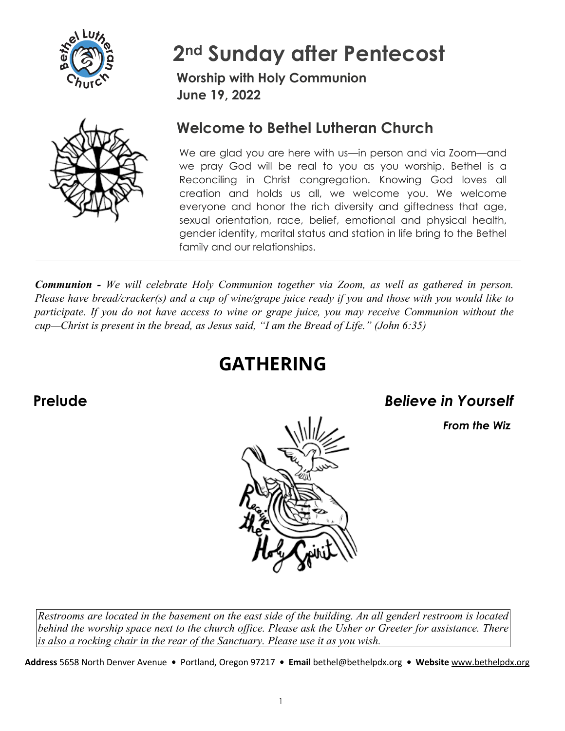

# **2nd Sunday after Pentecost**

**Worship with Holy Communion June 19, 2022**



# **Welcome to Bethel Lutheran Church**

We are glad you are here with us—in person and via Zoom—and we pray God will be real to you as you worship. Bethel is a Reconciling in Christ congregation. Knowing God loves all creation and holds us all, we welcome you. We welcome everyone and honor the rich diversity and giftedness that age, sexual orientation, race, belief, emotional and physical health, gender identity, marital status and station in life bring to the Bethel family and our relationships.

*Communion - We will celebrate Holy Communion together via Zoom, as well as gathered in person. Please have bread/cracker(s) and a cup of wine/grape juice ready if you and those with you would like to participate. If you do not have access to wine or grape juice, you may receive Communion without the cup—Christ is present in the bread, as Jesus said, "I am the Bread of Life." (John 6:35)* 

# **GATHERING**

**Prelude** *Believe in Yourself*

*From the Wiz* 



*Restrooms are located in the basement on the east side of the building. An all genderl restroom is located behind the worship space next to the church office. Please ask the Usher or Greeter for assistance. There is also a rocking chair in the rear of the Sanctuary. Please use it as you wish.* 

**Address** 5658 North Denver Avenue **•** Portland, Oregon 97217 **• Email** bethel@bethelpdx.org **• Website** [www.bethelpdx.org](http://www.bethelpdx.org/)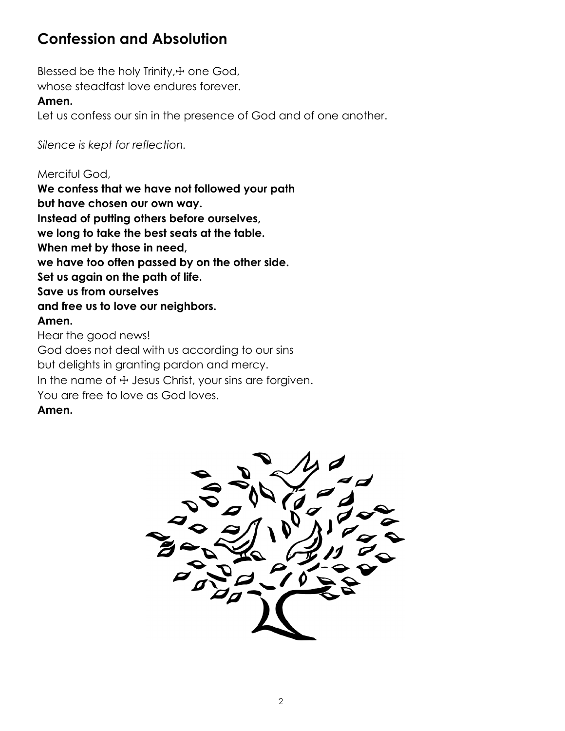# **Confession and Absolution**

Blessed be the holy Trinity, + one God, whose steadfast love endures forever.

#### **Amen.**

Let us confess our sin in the presence of God and of one another.

*Silence is kept for reflection.*

Merciful God, **We confess that we have not followed your path but have chosen our own way. Instead of putting others before ourselves, we long to take the best seats at the table. When met by those in need, we have too often passed by on the other side. Set us again on the path of life. Save us from ourselves and free us to love our neighbors. Amen.**

Hear the good news! God does not deal with us according to our sins but delights in granting pardon and mercy. In the name of  $+$  Jesus Christ, your sins are forgiven. You are free to love as God loves. **Amen.**

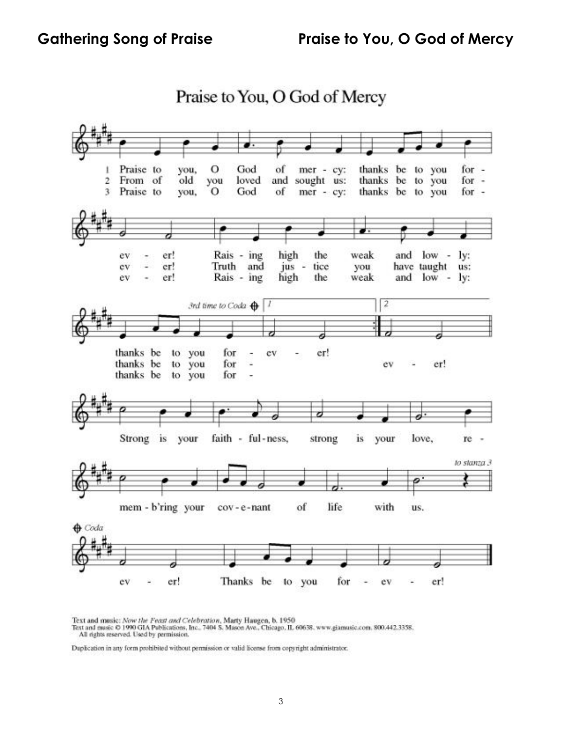

Praise to You, O God of Mercy

Text and music: Now the Feast and Celebration, Marty Haugen, b. 1950<br>Text and music © 1990 GIA Publications, Inc., 7404 S. Mason Ave., Chicago, IL 60638. www.giamusic.com. 800.442.3358.<br>All rights reserved. Used by permiss

Duplication in any form prohibited without permission or valid license from copyright administrator.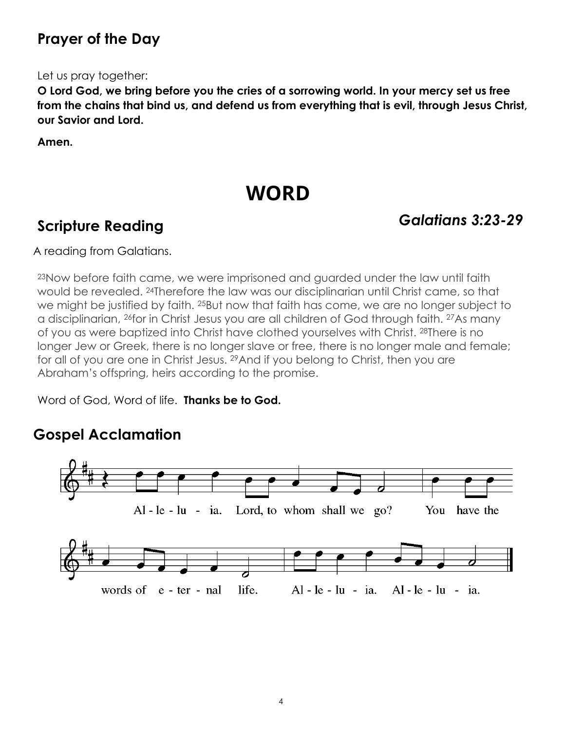# **Prayer of the Day**

Let us pray together:

**O Lord God, we bring before you the cries of a sorrowing world. In your mercy set us free from the chains that bind us, and defend us from everything that is evil, through Jesus Christ, our Savior and Lord.** 

**Amen.** 

# **WORD**

# **Scripture Reading** *Galatians 3:23-29*

A reading from Galatians.

23Now before faith came, we were imprisoned and guarded under the law until faith would be revealed. 24Therefore the law was our disciplinarian until Christ came, so that we might be justified by faith. <sup>25</sup>But now that faith has come, we are no longer subject to a disciplinarian, 26for in Christ Jesus you are all children of God through faith. 27As many of you as were baptized into Christ have clothed yourselves with Christ. 28There is no longer Jew or Greek, there is no longer slave or free, there is no longer male and female; for all of you are one in Christ Jesus. <sup>29</sup> And if you belong to Christ, then you are Abraham's offspring, heirs according to the promise.

Word of God, Word of life. **Thanks be to God.** 

# **Gospel Acclamation**

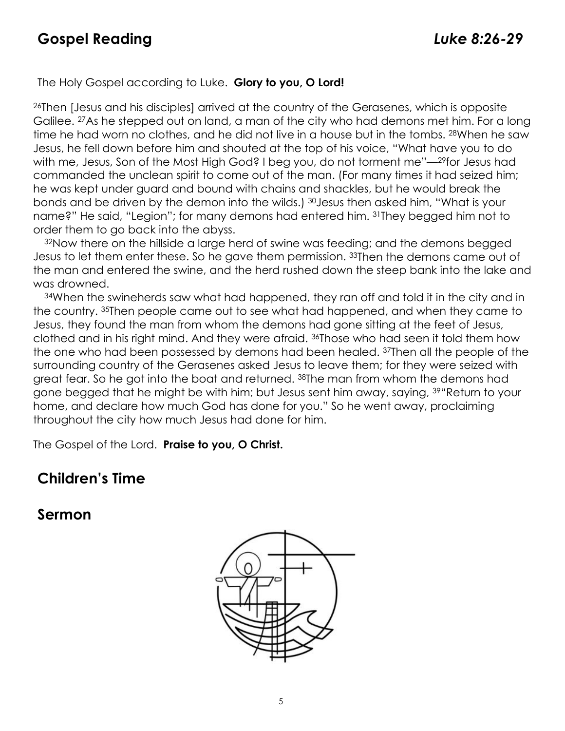#### The Holy Gospel according to Luke. **Glory to you, O Lord!**

26Then [Jesus and his disciples] arrived at the country of the Gerasenes, which is opposite Galilee. 27As he stepped out on land, a man of the city who had demons met him. For a long time he had worn no clothes, and he did not live in a house but in the tombs. 28When he saw Jesus, he fell down before him and shouted at the top of his voice, "What have you to do with me, Jesus, Son of the Most High God? I beg you, do not torment me"—29for Jesus had commanded the unclean spirit to come out of the man. (For many times it had seized him; he was kept under guard and bound with chains and shackles, but he would break the bonds and be driven by the demon into the wilds.) 30Jesus then asked him, "What is your name?" He said, "Legion"; for many demons had entered him. 31They begged him not to order them to go back into the abyss.

32Now there on the hillside a large herd of swine was feeding; and the demons begged Jesus to let them enter these. So he gave them permission. 33Then the demons came out of the man and entered the swine, and the herd rushed down the steep bank into the lake and was drowned.

34When the swineherds saw what had happened, they ran off and told it in the city and in the country. 35Then people came out to see what had happened, and when they came to Jesus, they found the man from whom the demons had gone sitting at the feet of Jesus, clothed and in his right mind. And they were afraid. 36Those who had seen it told them how the one who had been possessed by demons had been healed. 37Then all the people of the surrounding country of the Gerasenes asked Jesus to leave them; for they were seized with great fear. So he got into the boat and returned. 38The man from whom the demons had gone begged that he might be with him; but Jesus sent him away, saying, 39"Return to your home, and declare how much God has done for you." So he went away, proclaiming throughout the city how much Jesus had done for him.

The Gospel of the Lord. **Praise to you, O Christ.**

#### **Children's Time**

#### **Sermon**

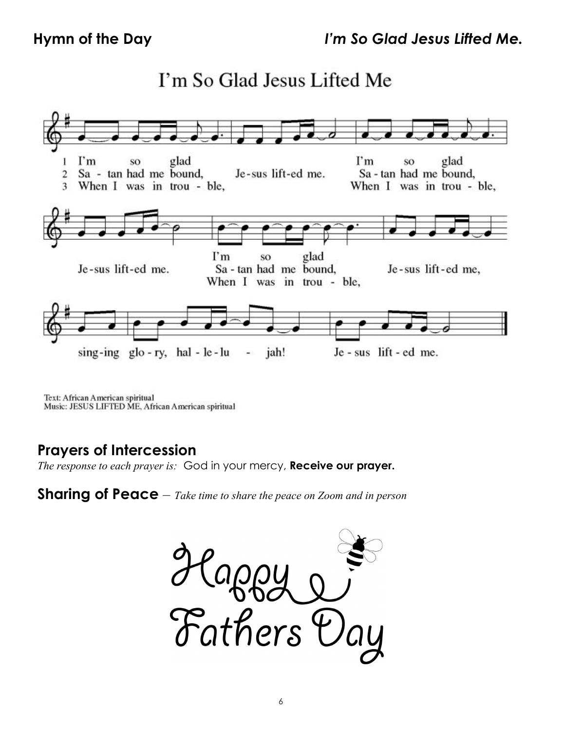# I'm So Glad Jesus Lifted Me



Text: African American spiritual Music: JESUS LIFTED ME, African American spiritual

### **Prayers of Intercession**

*The response to each prayer is:* God in your mercy, **Receive our prayer.** 

**Sharing of Peace** – *Take time to share the peace on Zoom and in person*

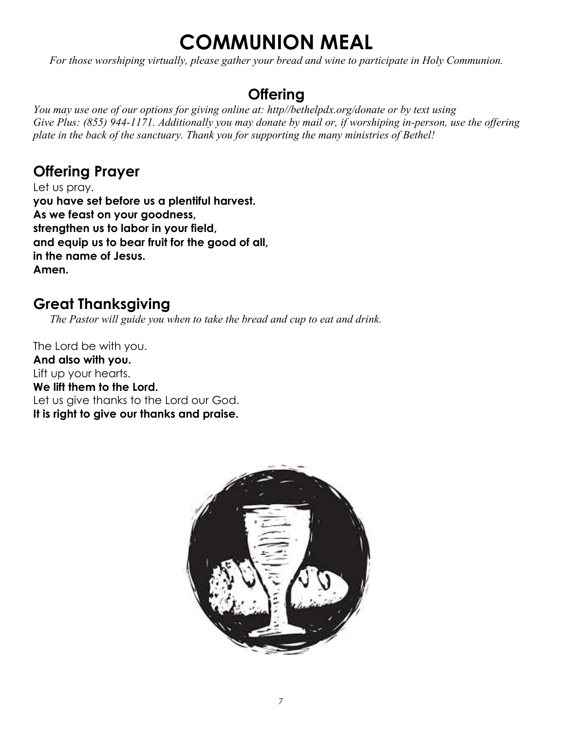# **COMMUNION MEAL**

*For those worshiping virtually, please gather your bread and wine to participate in Holy Communion.*

# **Offering**

*You may use one of our options for giving online at: http//bethelpdx.org/donate or by text using Give Plus: (855) 944-1171. Additionally you may donate by mail or, if worshiping in-person, use the offering plate in the back of the sanctuary. Thank you for supporting the many ministries of Bethel!*

# **Offering Prayer**

Let us pray. **you have set before us a plentiful harvest. As we feast on your goodness, strengthen us to labor in your field, and equip us to bear fruit for the good of all, in the name of Jesus. Amen.**

# **Great Thanksgiving**

*The Pastor will guide you when to take the bread and cup to eat and drink.*

The Lord be with you. **And also with you.** Lift up your hearts. **We lift them to the Lord.** Let us give thanks to the Lord our God. **It is right to give our thanks and praise.**

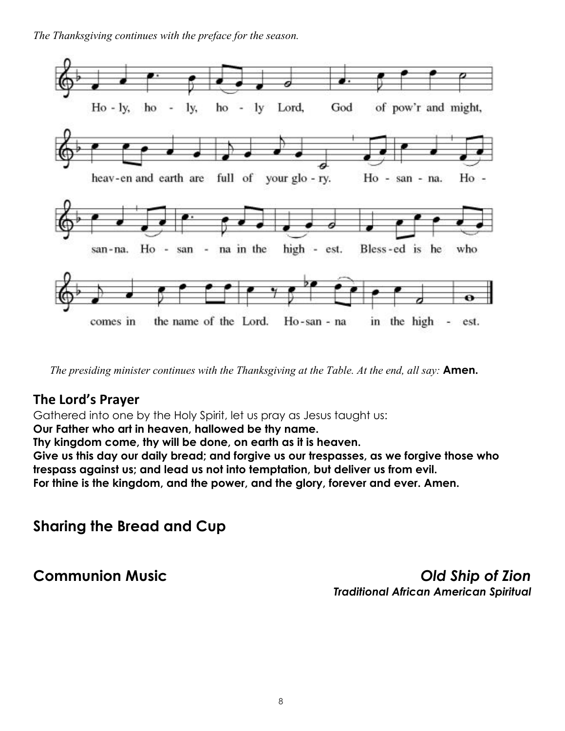*The Thanksgiving continues with the preface for the season.* 



*The presiding minister continues with the Thanksgiving at the Table. At the end, all say:* **Amen.**

#### **The Lord's Prayer**

Gathered into one by the Holy Spirit, let us pray as Jesus taught us:

**Our Father who art in heaven, hallowed be thy name.**

**Thy kingdom come, thy will be done, on earth as it is heaven.**

**Give us this day our daily bread; and forgive us our trespasses, as we forgive those who trespass against us; and lead us not into temptation, but deliver us from evil. For thine is the kingdom, and the power, and the glory, forever and ever. Amen.**

**Sharing the Bread and Cup**

**Communion Music** *Old Ship of Zion Traditional African American Spiritual*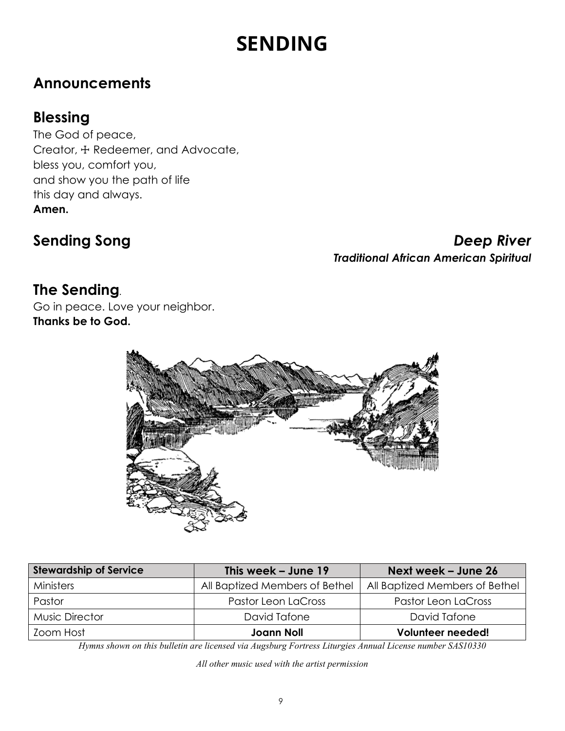# **SENDING**

# **Announcements**

# **Blessing**

The God of peace, Creator, ☩ Redeemer, and Advocate, bless you, comfort you, and show you the path of life this day and always. **Amen.**

**Sending Song** *Deep River Traditional African American Spiritual* 

# **The Sending***.*

Go in peace. Love your neighbor. **Thanks be to God.**



| <b>Stewardship of Service</b> | This week - June 19            | Next week – June 26            |
|-------------------------------|--------------------------------|--------------------------------|
| Ministers                     | All Baptized Members of Bethel | All Baptized Members of Bethel |
| Pastor                        | Pastor Leon LaCross            | Pastor Leon LaCross            |
| <b>Music Director</b>         | David Tafone                   | David Tafone                   |
| Zoom Host                     | <b>Joann Noll</b>              | Volunteer needed!              |

*Hymns shown on this bulletin are licensed via Augsburg Fortress Liturgies Annual License number SAS10330*

*All other music used with the artist permission*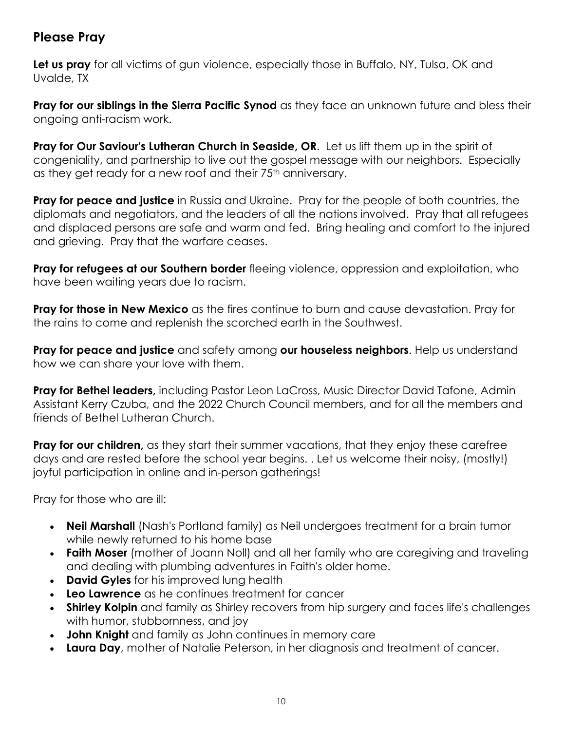#### **Please Pray**

**Let us pray** for all victims of gun violence, especially those in Buffalo, NY, Tulsa, OK and Uvalde, TX

**Pray for our siblings in the Sierra Pacific Synod** as they face an unknown future and bless their ongoing anti-racism work.

**Pray for Our Saviour's Lutheran Church in Seaside, OR**. Let us lift them up in the spirit of congeniality, and partnership to live out the gospel message with our neighbors. Especially as they get ready for a new roof and their 75<sup>th</sup> anniversary.

**Pray for peace and justice** in Russia and Ukraine. Pray for the people of both countries, the diplomats and negotiators, and the leaders of all the nations involved. Pray that all refugees and displaced persons are safe and warm and fed. Bring healing and comfort to the injured and grieving. Pray that the warfare ceases.

**Pray for refugees at our Southern border** fleeing violence, oppression and exploitation, who have been waiting years due to racism.

**Pray for those in New Mexico** as the fires continue to burn and cause devastation. Pray for the rains to come and replenish the scorched earth in the Southwest.

**Pray for peace and justice** and safety among **our houseless neighbors**. Help us understand how we can share your love with them.

**Pray for Bethel leaders,** including Pastor Leon LaCross, Music Director David Tafone, Admin Assistant Kerry Czuba, and the 2022 Church Council members, and for all the members and friends of Bethel Lutheran Church.

**Pray for our children,** as they start their summer vacations, that they enjoy these carefree days and are rested before the school year begins. . Let us welcome their noisy, (mostly!) joyful participation in online and in-person gatherings!

Pray for those who are ill:

- **Neil Marshall** (Nash's Portland family) as Neil undergoes treatment for a brain tumor while newly returned to his home base
- **Faith Moser** (mother of Joann Noll) and all her family who are caregiving and traveling and dealing with plumbing adventures in Faith's older home.
- **David Gyles** for his improved lung health
- **Leo Lawrence** as he continues treatment for cancer
- **Shirley Kolpin** and family as Shirley recovers from hip surgery and faces life's challenges with humor, stubbornness, and joy
- **John Knight** and family as John continues in memory care
- **Laura Day**, mother of Natalie Peterson, in her diagnosis and treatment of cancer.